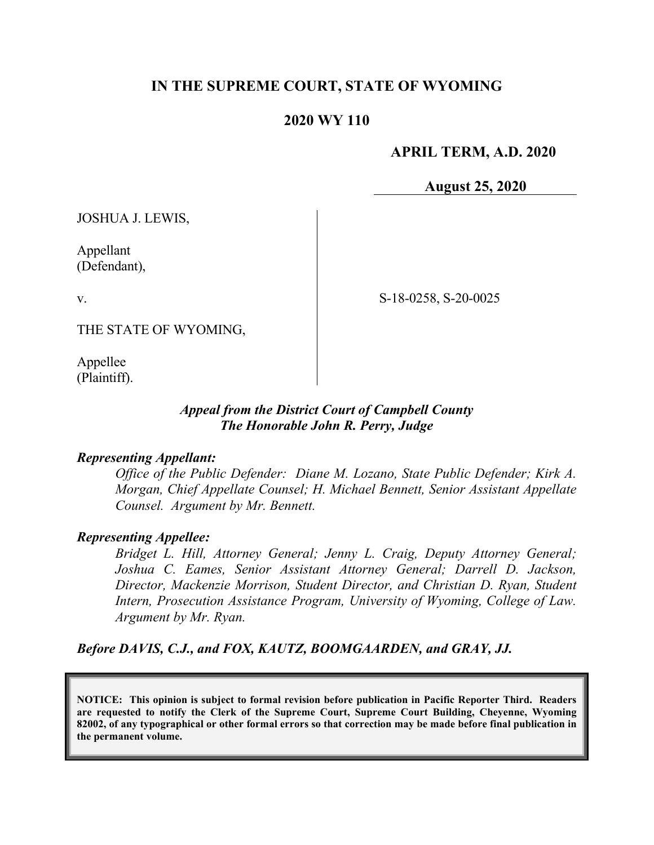# **IN THE SUPREME COURT, STATE OF WYOMING**

# **2020 WY 110**

### **APRIL TERM, A.D. 2020**

**August 25, 2020**

JOSHUA J. LEWIS,

Appellant (Defendant),

v.

S-18-0258, S-20-0025

THE STATE OF WYOMING,

Appellee (Plaintiff).

#### *Appeal from the District Court of Campbell County The Honorable John R. Perry, Judge*

#### *Representing Appellant:*

*Office of the Public Defender: Diane M. Lozano, State Public Defender; Kirk A. Morgan, Chief Appellate Counsel; H. Michael Bennett, Senior Assistant Appellate Counsel. Argument by Mr. Bennett.*

#### *Representing Appellee:*

*Bridget L. Hill, Attorney General; Jenny L. Craig, Deputy Attorney General; Joshua C. Eames, Senior Assistant Attorney General; Darrell D. Jackson, Director, Mackenzie Morrison, Student Director, and Christian D. Ryan, Student Intern, Prosecution Assistance Program, University of Wyoming, College of Law. Argument by Mr. Ryan.*

*Before DAVIS, C.J., and FOX, KAUTZ, BOOMGAARDEN, and GRAY, JJ.*

**NOTICE: This opinion is subject to formal revision before publication in Pacific Reporter Third. Readers are requested to notify the Clerk of the Supreme Court, Supreme Court Building, Cheyenne, Wyoming 82002, of any typographical or other formal errors so that correction may be made before final publication in the permanent volume.**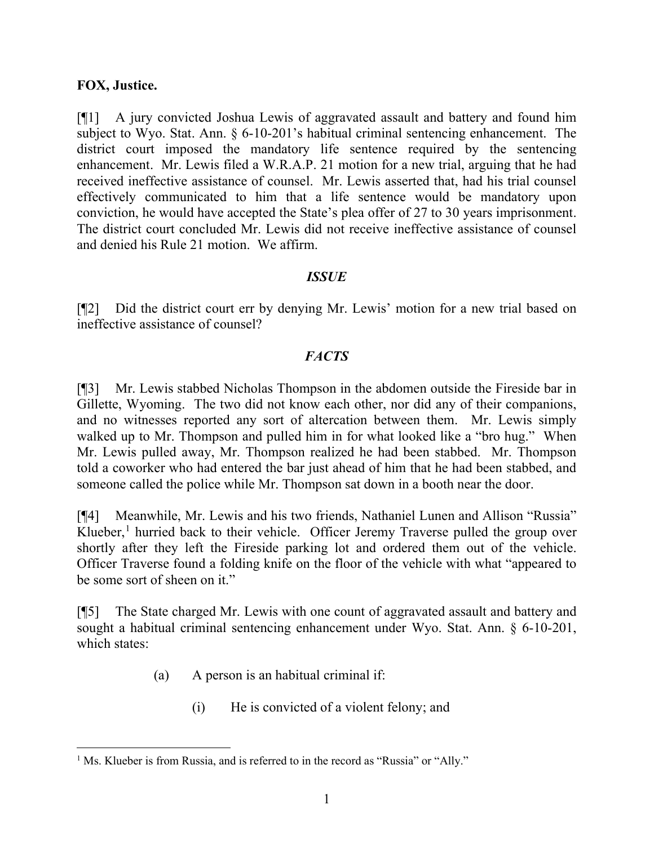### **FOX, Justice.**

[¶1] A jury convicted Joshua Lewis of aggravated assault and battery and found him subject to Wyo. Stat. Ann. § 6-10-201's habitual criminal sentencing enhancement. The district court imposed the mandatory life sentence required by the sentencing enhancement. Mr. Lewis filed a W.R.A.P. 21 motion for a new trial, arguing that he had received ineffective assistance of counsel. Mr. Lewis asserted that, had his trial counsel effectively communicated to him that a life sentence would be mandatory upon conviction, he would have accepted the State's plea offer of 27 to 30 years imprisonment. The district court concluded Mr. Lewis did not receive ineffective assistance of counsel and denied his Rule 21 motion. We affirm.

# *ISSUE*

[¶2] Did the district court err by denying Mr. Lewis' motion for a new trial based on ineffective assistance of counsel?

# *FACTS*

[¶3] Mr. Lewis stabbed Nicholas Thompson in the abdomen outside the Fireside bar in Gillette, Wyoming. The two did not know each other, nor did any of their companions, and no witnesses reported any sort of altercation between them. Mr. Lewis simply walked up to Mr. Thompson and pulled him in for what looked like a "bro hug." When Mr. Lewis pulled away, Mr. Thompson realized he had been stabbed. Mr. Thompson told a coworker who had entered the bar just ahead of him that he had been stabbed, and someone called the police while Mr. Thompson sat down in a booth near the door.

[¶4] Meanwhile, Mr. Lewis and his two friends, Nathaniel Lunen and Allison "Russia" Klueber,<sup>[1](#page-1-0)</sup> hurried back to their vehicle. Officer Jeremy Traverse pulled the group over shortly after they left the Fireside parking lot and ordered them out of the vehicle. Officer Traverse found a folding knife on the floor of the vehicle with what "appeared to be some sort of sheen on it."

[¶5] The State charged Mr. Lewis with one count of aggravated assault and battery and sought a habitual criminal sentencing enhancement under Wyo. Stat. Ann. § 6-10-201, which states:

- (a) A person is an habitual criminal if:
	- (i) He is convicted of a violent felony; and

<span id="page-1-0"></span><sup>&</sup>lt;sup>1</sup> Ms. Klueber is from Russia, and is referred to in the record as "Russia" or "Ally."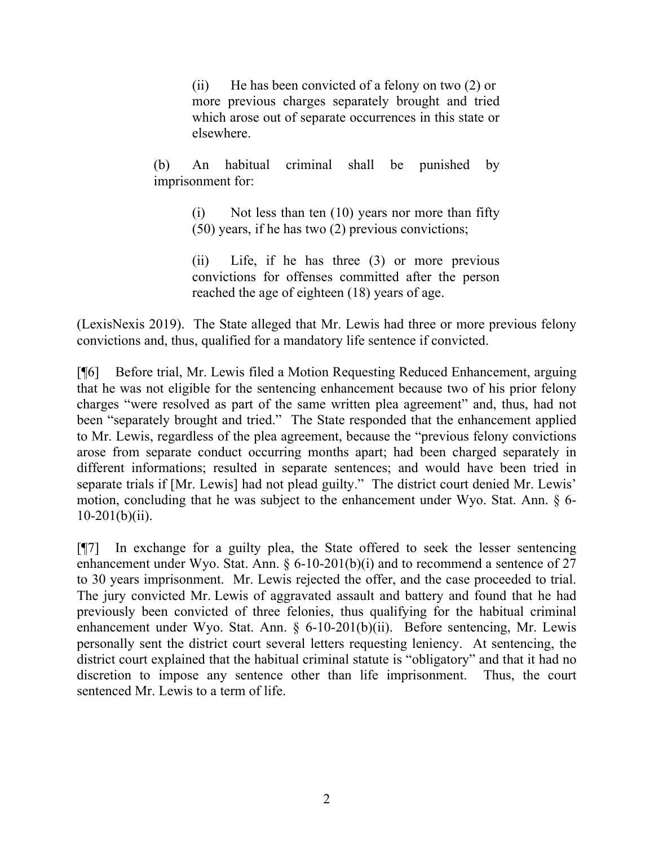(ii) He has been convicted of a felony on two (2) or more previous charges separately brought and tried which arose out of separate occurrences in this state or elsewhere.

(b) An habitual criminal shall be punished by imprisonment for:

> (i) Not less than ten (10) years nor more than fifty (50) years, if he has two (2) previous convictions;

> (ii) Life, if he has three (3) or more previous convictions for offenses committed after the person reached the age of eighteen (18) years of age.

(LexisNexis 2019). The State alleged that Mr. Lewis had three or more previous felony convictions and, thus, qualified for a mandatory life sentence if convicted.

[¶6] Before trial, Mr. Lewis filed a Motion Requesting Reduced Enhancement, arguing that he was not eligible for the sentencing enhancement because two of his prior felony charges "were resolved as part of the same written plea agreement" and, thus, had not been "separately brought and tried." The State responded that the enhancement applied to Mr. Lewis, regardless of the plea agreement, because the "previous felony convictions arose from separate conduct occurring months apart; had been charged separately in different informations; resulted in separate sentences; and would have been tried in separate trials if [Mr. Lewis] had not plead guilty." The district court denied Mr. Lewis' motion, concluding that he was subject to the enhancement under Wyo. Stat. Ann. § 6-  $10-201(b)(ii)$ .

[¶7] In exchange for a guilty plea, the State offered to seek the lesser sentencing enhancement under Wyo. Stat. Ann.  $\S 6-10-201(b)(i)$  and to recommend a sentence of 27 to 30 years imprisonment. Mr. Lewis rejected the offer, and the case proceeded to trial. The jury convicted Mr. Lewis of aggravated assault and battery and found that he had previously been convicted of three felonies, thus qualifying for the habitual criminal enhancement under Wyo. Stat. Ann. § 6-10-201(b)(ii). Before sentencing, Mr. Lewis personally sent the district court several letters requesting leniency. At sentencing, the district court explained that the habitual criminal statute is "obligatory" and that it had no discretion to impose any sentence other than life imprisonment. Thus, the court sentenced Mr. Lewis to a term of life.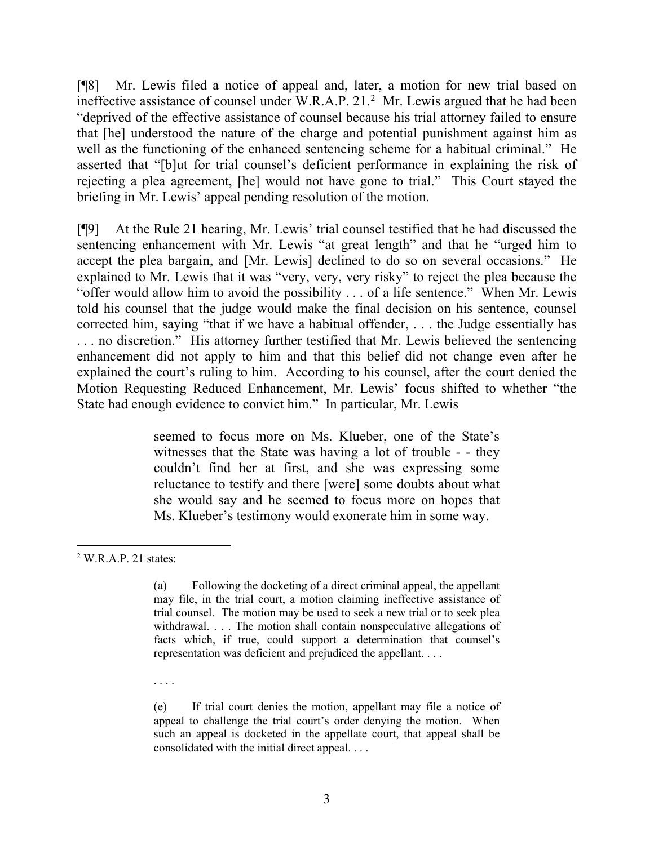[¶8] Mr. Lewis filed a notice of appeal and, later, a motion for new trial based on ineffective assistance of counsel under W.R.A.P. 21. [2](#page-3-0) Mr. Lewis argued that he had been "deprived of the effective assistance of counsel because his trial attorney failed to ensure that [he] understood the nature of the charge and potential punishment against him as well as the functioning of the enhanced sentencing scheme for a habitual criminal." He asserted that "[b]ut for trial counsel's deficient performance in explaining the risk of rejecting a plea agreement, [he] would not have gone to trial." This Court stayed the briefing in Mr. Lewis' appeal pending resolution of the motion.

[¶9] At the Rule 21 hearing, Mr. Lewis' trial counsel testified that he had discussed the sentencing enhancement with Mr. Lewis "at great length" and that he "urged him to accept the plea bargain, and [Mr. Lewis] declined to do so on several occasions." He explained to Mr. Lewis that it was "very, very, very risky" to reject the plea because the "offer would allow him to avoid the possibility . . . of a life sentence." When Mr. Lewis told his counsel that the judge would make the final decision on his sentence, counsel corrected him, saying "that if we have a habitual offender, . . . the Judge essentially has . . . no discretion." His attorney further testified that Mr. Lewis believed the sentencing enhancement did not apply to him and that this belief did not change even after he explained the court's ruling to him. According to his counsel, after the court denied the Motion Requesting Reduced Enhancement, Mr. Lewis' focus shifted to whether "the State had enough evidence to convict him." In particular, Mr. Lewis

> seemed to focus more on Ms. Klueber, one of the State's witnesses that the State was having a lot of trouble - - they couldn't find her at first, and she was expressing some reluctance to testify and there [were] some doubts about what she would say and he seemed to focus more on hopes that Ms. Klueber's testimony would exonerate him in some way.

. . . .

(e) If trial court denies the motion, appellant may file a notice of appeal to challenge the trial court's order denying the motion. When such an appeal is docketed in the appellate court, that appeal shall be consolidated with the initial direct appeal. . . .

<span id="page-3-0"></span><sup>2</sup> W.R.A.P. 21 states:

<sup>(</sup>a) Following the docketing of a direct criminal appeal, the appellant may file, in the trial court, a motion claiming ineffective assistance of trial counsel. The motion may be used to seek a new trial or to seek plea withdrawal. . . . The motion shall contain nonspeculative allegations of facts which, if true, could support a determination that counsel's representation was deficient and prejudiced the appellant. . . .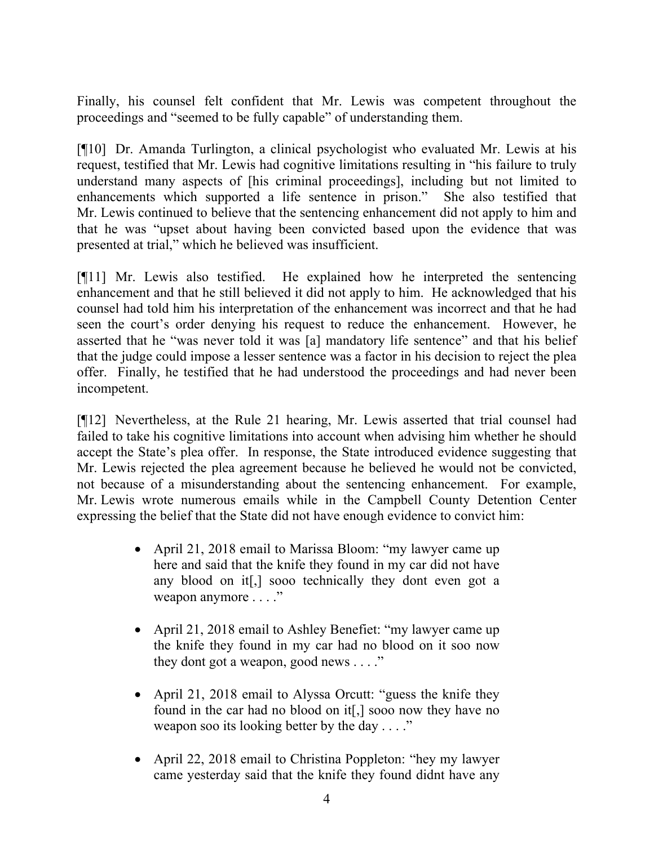Finally, his counsel felt confident that Mr. Lewis was competent throughout the proceedings and "seemed to be fully capable" of understanding them.

[¶10] Dr. Amanda Turlington, a clinical psychologist who evaluated Mr. Lewis at his request, testified that Mr. Lewis had cognitive limitations resulting in "his failure to truly understand many aspects of [his criminal proceedings], including but not limited to enhancements which supported a life sentence in prison." She also testified that Mr. Lewis continued to believe that the sentencing enhancement did not apply to him and that he was "upset about having been convicted based upon the evidence that was presented at trial," which he believed was insufficient.

[¶11] Mr. Lewis also testified. He explained how he interpreted the sentencing enhancement and that he still believed it did not apply to him. He acknowledged that his counsel had told him his interpretation of the enhancement was incorrect and that he had seen the court's order denying his request to reduce the enhancement. However, he asserted that he "was never told it was [a] mandatory life sentence" and that his belief that the judge could impose a lesser sentence was a factor in his decision to reject the plea offer. Finally, he testified that he had understood the proceedings and had never been incompetent.

[¶12] Nevertheless, at the Rule 21 hearing, Mr. Lewis asserted that trial counsel had failed to take his cognitive limitations into account when advising him whether he should accept the State's plea offer. In response, the State introduced evidence suggesting that Mr. Lewis rejected the plea agreement because he believed he would not be convicted, not because of a misunderstanding about the sentencing enhancement. For example, Mr. Lewis wrote numerous emails while in the Campbell County Detention Center expressing the belief that the State did not have enough evidence to convict him:

- April 21, 2018 email to Marissa Bloom: "my lawyer came up here and said that the knife they found in my car did not have any blood on it[,] sooo technically they dont even got a weapon anymore . . . ."
- April 21, 2018 email to Ashley Benefiet: "my lawyer came up the knife they found in my car had no blood on it soo now they dont got a weapon, good news  $\dots$ ."
- April 21, 2018 email to Alyssa Orcutt: "guess the knife they found in the car had no blood on it[,] sooo now they have no weapon soo its looking better by the day . . . ."
- April 22, 2018 email to Christina Poppleton: "hey my lawyer came yesterday said that the knife they found didnt have any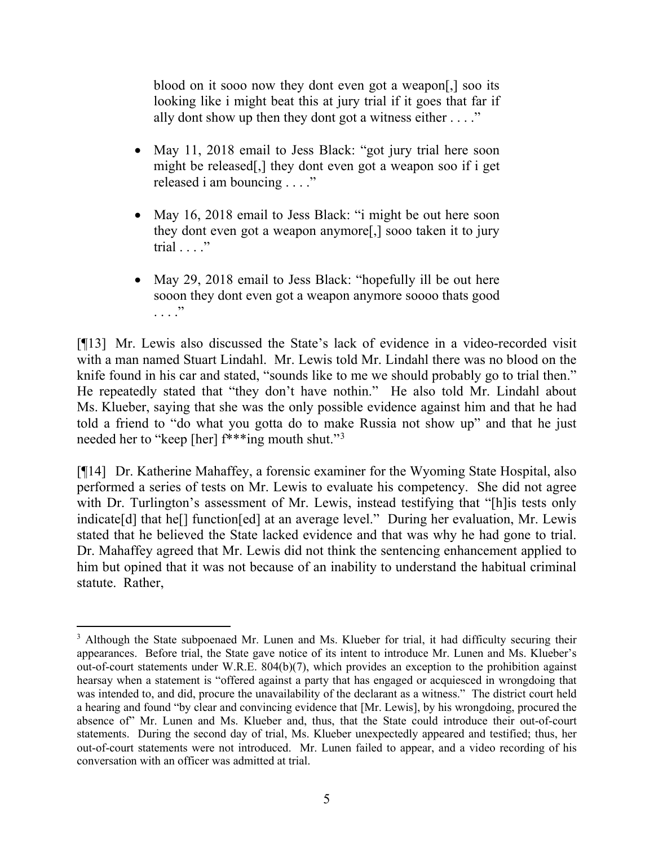blood on it sooo now they dont even got a weapon[,] soo its looking like i might beat this at jury trial if it goes that far if ally dont show up then they dont got a witness either . . . ."

- May 11, 2018 email to Jess Black: "got jury trial here soon might be released[,] they dont even got a weapon soo if i get released i am bouncing . . . ."
- May 16, 2018 email to Jess Black: "i might be out here soon they dont even got a weapon anymore[,] sooo taken it to jury trial . . . ."
- May 29, 2018 email to Jess Black: "hopefully ill be out here sooon they dont even got a weapon anymore soooo thats good . . . ."

[¶13] Mr. Lewis also discussed the State's lack of evidence in a video-recorded visit with a man named Stuart Lindahl. Mr. Lewis told Mr. Lindahl there was no blood on the knife found in his car and stated, "sounds like to me we should probably go to trial then." He repeatedly stated that "they don't have nothin." He also told Mr. Lindahl about Ms. Klueber, saying that she was the only possible evidence against him and that he had told a friend to "do what you gotta do to make Russia not show up" and that he just needed her to "keep [her] f\*\*\*ing mouth shut."[3](#page-5-0)

[¶14] Dr. Katherine Mahaffey, a forensic examiner for the Wyoming State Hospital, also performed a series of tests on Mr. Lewis to evaluate his competency. She did not agree with Dr. Turlington's assessment of Mr. Lewis, instead testifying that "[h]is tests only indicate[d] that he[] function[ed] at an average level." During her evaluation, Mr. Lewis stated that he believed the State lacked evidence and that was why he had gone to trial. Dr. Mahaffey agreed that Mr. Lewis did not think the sentencing enhancement applied to him but opined that it was not because of an inability to understand the habitual criminal statute. Rather,

<span id="page-5-0"></span><sup>&</sup>lt;sup>3</sup> Although the State subpoenaed Mr. Lunen and Ms. Klueber for trial, it had difficulty securing their appearances. Before trial, the State gave notice of its intent to introduce Mr. Lunen and Ms. Klueber's out-of-court statements under W.R.E. 804(b)(7), which provides an exception to the prohibition against hearsay when a statement is "offered against a party that has engaged or acquiesced in wrongdoing that was intended to, and did, procure the unavailability of the declarant as a witness." The district court held a hearing and found "by clear and convincing evidence that [Mr. Lewis], by his wrongdoing, procured the absence of" Mr. Lunen and Ms. Klueber and, thus, that the State could introduce their out-of-court statements. During the second day of trial, Ms. Klueber unexpectedly appeared and testified; thus, her out-of-court statements were not introduced. Mr. Lunen failed to appear, and a video recording of his conversation with an officer was admitted at trial.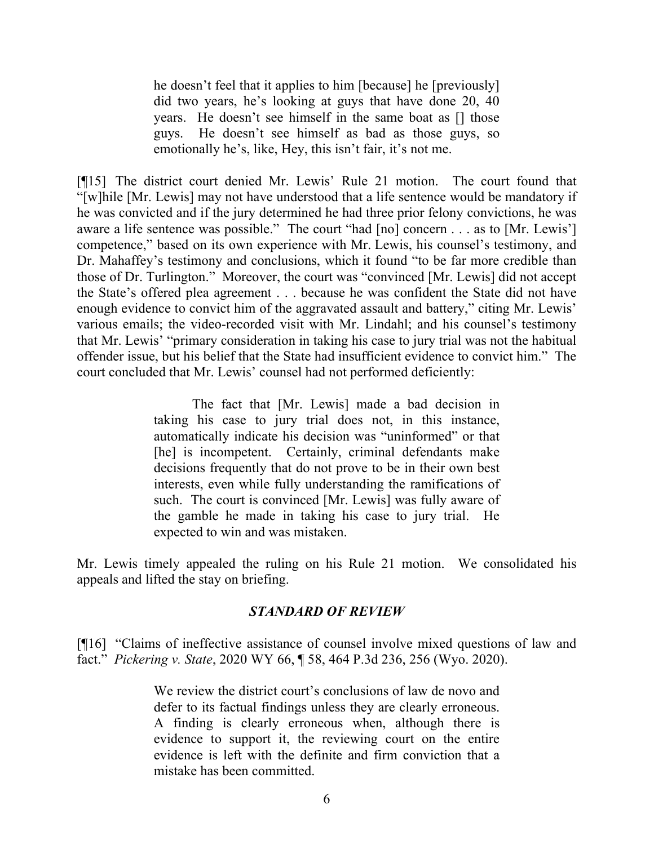he doesn't feel that it applies to him [because] he [previously] did two years, he's looking at guys that have done 20, 40 years. He doesn't see himself in the same boat as [] those guys. He doesn't see himself as bad as those guys, so emotionally he's, like, Hey, this isn't fair, it's not me.

[¶15] The district court denied Mr. Lewis' Rule 21 motion. The court found that "[w]hile [Mr. Lewis] may not have understood that a life sentence would be mandatory if he was convicted and if the jury determined he had three prior felony convictions, he was aware a life sentence was possible." The court "had [no] concern . . . as to [Mr. Lewis'] competence," based on its own experience with Mr. Lewis, his counsel's testimony, and Dr. Mahaffey's testimony and conclusions, which it found "to be far more credible than those of Dr. Turlington." Moreover, the court was "convinced [Mr. Lewis] did not accept the State's offered plea agreement . . . because he was confident the State did not have enough evidence to convict him of the aggravated assault and battery," citing Mr. Lewis' various emails; the video-recorded visit with Mr. Lindahl; and his counsel's testimony that Mr. Lewis' "primary consideration in taking his case to jury trial was not the habitual offender issue, but his belief that the State had insufficient evidence to convict him." The court concluded that Mr. Lewis' counsel had not performed deficiently:

> The fact that [Mr. Lewis] made a bad decision in taking his case to jury trial does not, in this instance, automatically indicate his decision was "uninformed" or that [he] is incompetent. Certainly, criminal defendants make decisions frequently that do not prove to be in their own best interests, even while fully understanding the ramifications of such. The court is convinced [Mr. Lewis] was fully aware of the gamble he made in taking his case to jury trial. He expected to win and was mistaken.

Mr. Lewis timely appealed the ruling on his Rule 21 motion. We consolidated his appeals and lifted the stay on briefing.

# *STANDARD OF REVIEW*

[¶16] "Claims of ineffective assistance of counsel involve mixed questions of law and fact." *Pickering v. State*, 2020 WY 66, ¶ 58, 464 P.3d 236, 256 (Wyo. 2020).

> We review the district court's conclusions of law de novo and defer to its factual findings unless they are clearly erroneous. A finding is clearly erroneous when, although there is evidence to support it, the reviewing court on the entire evidence is left with the definite and firm conviction that a mistake has been committed.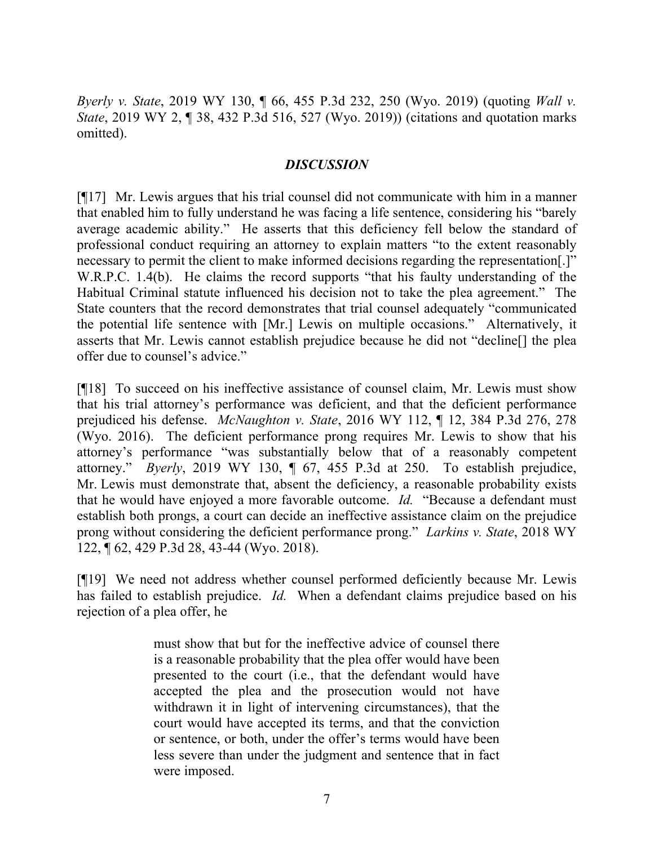*Byerly v. State*, 2019 WY 130, ¶ 66, 455 P.3d 232, 250 (Wyo. 2019) (quoting *Wall v. State*, 2019 WY 2, ¶ 38, 432 P.3d 516, 527 (Wyo. 2019)) (citations and quotation marks omitted).

# *DISCUSSION*

[¶17] Mr. Lewis argues that his trial counsel did not communicate with him in a manner that enabled him to fully understand he was facing a life sentence, considering his "barely average academic ability." He asserts that this deficiency fell below the standard of professional conduct requiring an attorney to explain matters "to the extent reasonably necessary to permit the client to make informed decisions regarding the representation[.]" W.R.P.C. 1.4(b). He claims the record supports "that his faulty understanding of the Habitual Criminal statute influenced his decision not to take the plea agreement." The State counters that the record demonstrates that trial counsel adequately "communicated the potential life sentence with [Mr.] Lewis on multiple occasions." Alternatively, it asserts that Mr. Lewis cannot establish prejudice because he did not "decline[] the plea offer due to counsel's advice."

[¶18] To succeed on his ineffective assistance of counsel claim, Mr. Lewis must show that his trial attorney's performance was deficient, and that the deficient performance prejudiced his defense. *McNaughton v. State*, 2016 WY 112, ¶ 12, 384 P.3d 276, 278 (Wyo. 2016). The deficient performance prong requires Mr. Lewis to show that his attorney's performance "was substantially below that of a reasonably competent attorney." *Byerly*, 2019 WY 130, ¶ 67, 455 P.3d at 250. To establish prejudice, Mr. Lewis must demonstrate that, absent the deficiency, a reasonable probability exists that he would have enjoyed a more favorable outcome. *Id.* "Because a defendant must establish both prongs, a court can decide an ineffective assistance claim on the prejudice prong without considering the deficient performance prong." *Larkins v. State*, 2018 WY 122, ¶ 62, 429 P.3d 28, 43-44 (Wyo. 2018).

[¶19] We need not address whether counsel performed deficiently because Mr. Lewis has failed to establish prejudice. *Id.* When a defendant claims prejudice based on his rejection of a plea offer, he

> must show that but for the ineffective advice of counsel there is a reasonable probability that the plea offer would have been presented to the court (i.e., that the defendant would have accepted the plea and the prosecution would not have withdrawn it in light of intervening circumstances), that the court would have accepted its terms, and that the conviction or sentence, or both, under the offer's terms would have been less severe than under the judgment and sentence that in fact were imposed.